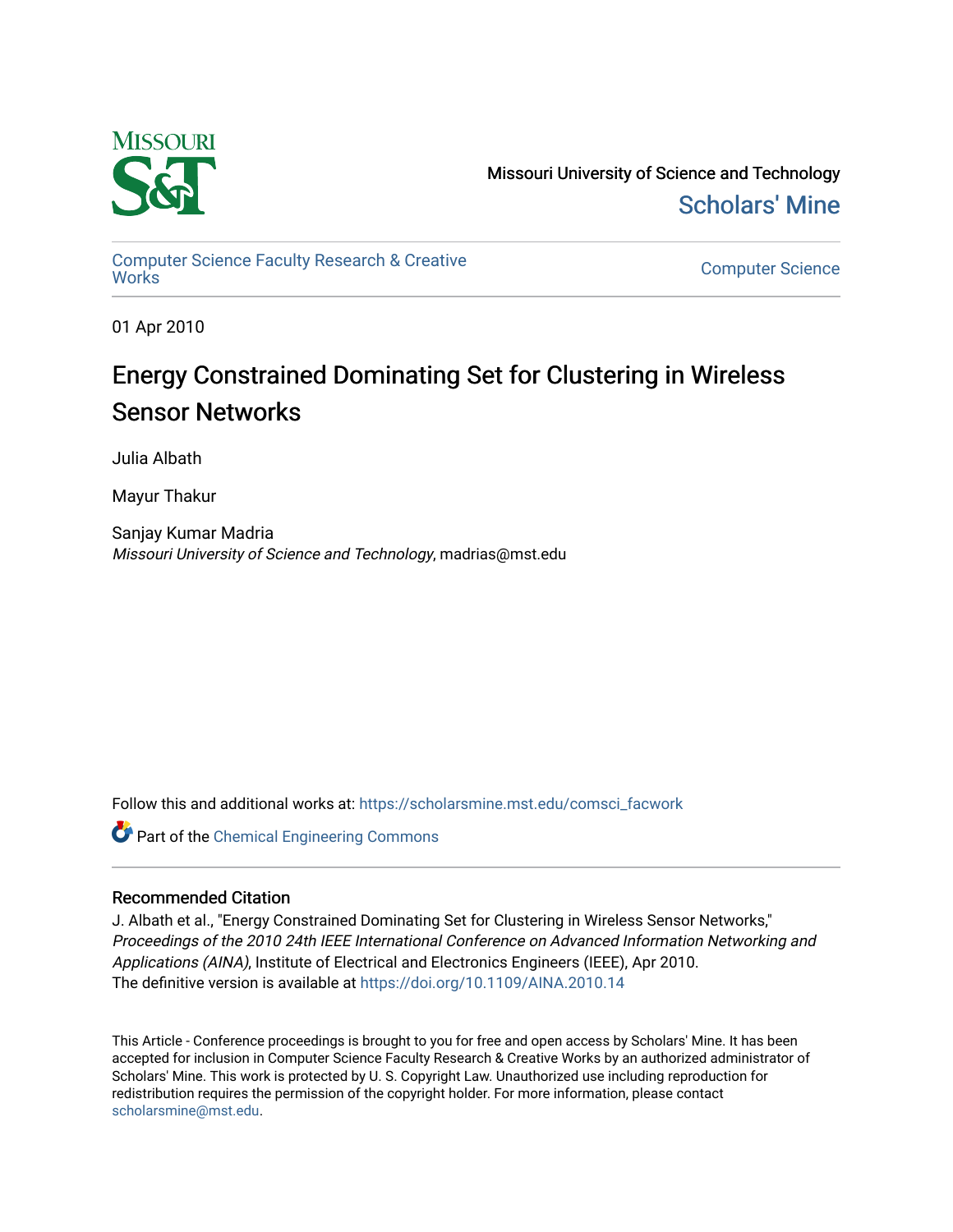

Missouri University of Science and Technology [Scholars' Mine](https://scholarsmine.mst.edu/) 

[Computer Science Faculty Research & Creative](https://scholarsmine.mst.edu/comsci_facwork) 

**Computer Science** 

01 Apr 2010

## Energy Constrained Dominating Set for Clustering in Wireless Sensor Networks

Julia Albath

Mayur Thakur

Sanjay Kumar Madria Missouri University of Science and Technology, madrias@mst.edu

Follow this and additional works at: [https://scholarsmine.mst.edu/comsci\\_facwork](https://scholarsmine.mst.edu/comsci_facwork?utm_source=scholarsmine.mst.edu%2Fcomsci_facwork%2F246&utm_medium=PDF&utm_campaign=PDFCoverPages) 

Part of the [Chemical Engineering Commons](http://network.bepress.com/hgg/discipline/240?utm_source=scholarsmine.mst.edu%2Fcomsci_facwork%2F246&utm_medium=PDF&utm_campaign=PDFCoverPages)

### Recommended Citation

J. Albath et al., "Energy Constrained Dominating Set for Clustering in Wireless Sensor Networks," Proceedings of the 2010 24th IEEE International Conference on Advanced Information Networking and Applications (AINA), Institute of Electrical and Electronics Engineers (IEEE), Apr 2010. The definitive version is available at <https://doi.org/10.1109/AINA.2010.14>

This Article - Conference proceedings is brought to you for free and open access by Scholars' Mine. It has been accepted for inclusion in Computer Science Faculty Research & Creative Works by an authorized administrator of Scholars' Mine. This work is protected by U. S. Copyright Law. Unauthorized use including reproduction for redistribution requires the permission of the copyright holder. For more information, please contact [scholarsmine@mst.edu.](mailto:scholarsmine@mst.edu)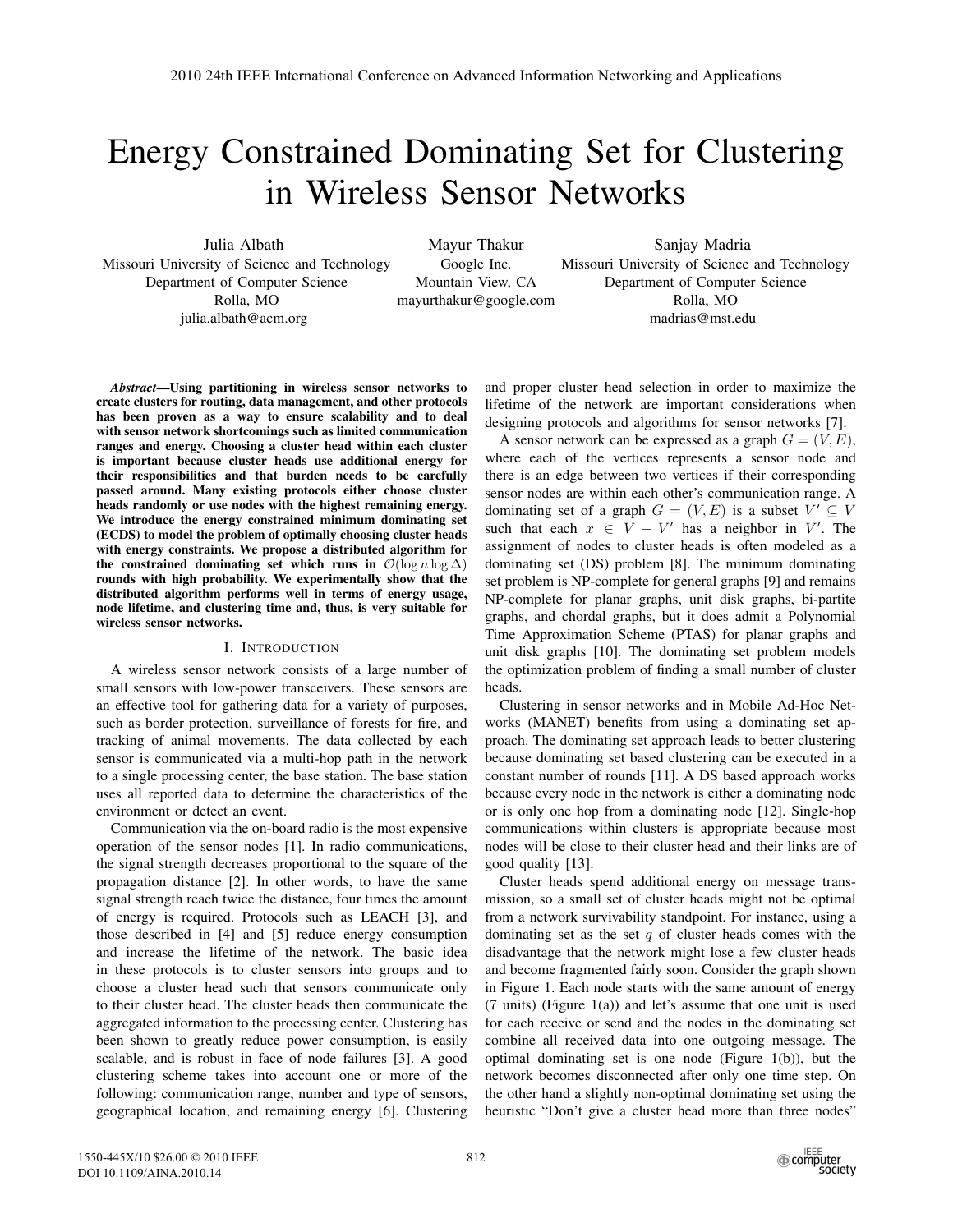# Energy Constrained Dominating Set for Clustering in Wireless Sensor Networks

Julia Albath Missouri University of Science and Technology Department of Computer Science Rolla, MO julia.albath@acm.org

Mayur Thakur Google Inc. Mountain View, CA mayurthakur@google.com

Sanjay Madria Missouri University of Science and Technology Department of Computer Science Rolla, MO madrias@mst.edu

*Abstract*—Using partitioning in wireless sensor networks to create clusters for routing, data management, and other protocols has been proven as a way to ensure scalability and to deal with sensor network shortcomings such as limited communication ranges and energy. Choosing a cluster head within each cluster is important because cluster heads use additional energy for their responsibilities and that burden needs to be carefully passed around. Many existing protocols either choose cluster heads randomly or use nodes with the highest remaining energy. We introduce the energy constrained minimum dominating set (ECDS) to model the problem of optimally choosing cluster heads with energy constraints. We propose a distributed algorithm for the constrained dominating set which runs in  $\mathcal{O}(\log n \log \Delta)$ rounds with high probability. We experimentally show that the distributed algorithm performs well in terms of energy usage, node lifetime, and clustering time and, thus, is very suitable for wireless sensor networks.

#### I. INTRODUCTION

A wireless sensor network consists of a large number of small sensors with low-power transceivers. These sensors are an effective tool for gathering data for a variety of purposes, such as border protection, surveillance of forests for fire, and tracking of animal movements. The data collected by each sensor is communicated via a multi-hop path in the network to a single processing center, the base station. The base station uses all reported data to determine the characteristics of the environment or detect an event.

Communication via the on-board radio is the most expensive operation of the sensor nodes [1]. In radio communications, the signal strength decreases proportional to the square of the propagation distance [2]. In other words, to have the same signal strength reach twice the distance, four times the amount of energy is required. Protocols such as LEACH [3], and those described in [4] and [5] reduce energy consumption and increase the lifetime of the network. The basic idea in these protocols is to cluster sensors into groups and to choose a cluster head such that sensors communicate only to their cluster head. The cluster heads then communicate the aggregated information to the processing center. Clustering has been shown to greatly reduce power consumption, is easily scalable, and is robust in face of node failures [3]. A good clustering scheme takes into account one or more of the following: communication range, number and type of sensors, geographical location, and remaining energy [6]. Clustering and proper cluster head selection in order to maximize the lifetime of the network are important considerations when designing protocols and algorithms for sensor networks [7].

A sensor network can be expressed as a graph  $G = (V, E)$ , where each of the vertices represents a sensor node and there is an edge between two vertices if their corresponding sensor nodes are within each other's communication range. A dominating set of a graph  $G = (V, E)$  is a subset  $V' \subseteq V$ <br>such that each  $x \in V - V'$  has a neighbor in  $V'$ . The such that each  $x \in V - V'$  has a neighbor in V'. The assignment of nodes to cluster heads is often modeled as a dominating set (DS) problem [8]. The minimum dominating set problem is NP-complete for general graphs [9] and remains NP-complete for planar graphs, unit disk graphs, bi-partite graphs, and chordal graphs, but it does admit a Polynomial Time Approximation Scheme (PTAS) for planar graphs and unit disk graphs [10]. The dominating set problem models the optimization problem of finding a small number of cluster heads.

Clustering in sensor networks and in Mobile Ad-Hoc Networks (MANET) benefits from using a dominating set approach. The dominating set approach leads to better clustering because dominating set based clustering can be executed in a constant number of rounds [11]. A DS based approach works because every node in the network is either a dominating node or is only one hop from a dominating node [12]. Single-hop communications within clusters is appropriate because most nodes will be close to their cluster head and their links are of good quality [13].

Cluster heads spend additional energy on message transmission, so a small set of cluster heads might not be optimal from a network survivability standpoint. For instance, using a dominating set as the set  $q$  of cluster heads comes with the disadvantage that the network might lose a few cluster heads and become fragmented fairly soon. Consider the graph shown in Figure 1. Each node starts with the same amount of energy (7 units) (Figure 1(a)) and let's assume that one unit is used for each receive or send and the nodes in the dominating set combine all received data into one outgoing message. The optimal dominating set is one node (Figure 1(b)), but the network becomes disconnected after only one time step. On the other hand a slightly non-optimal dominating set using the heuristic "Don't give a cluster head more than three nodes"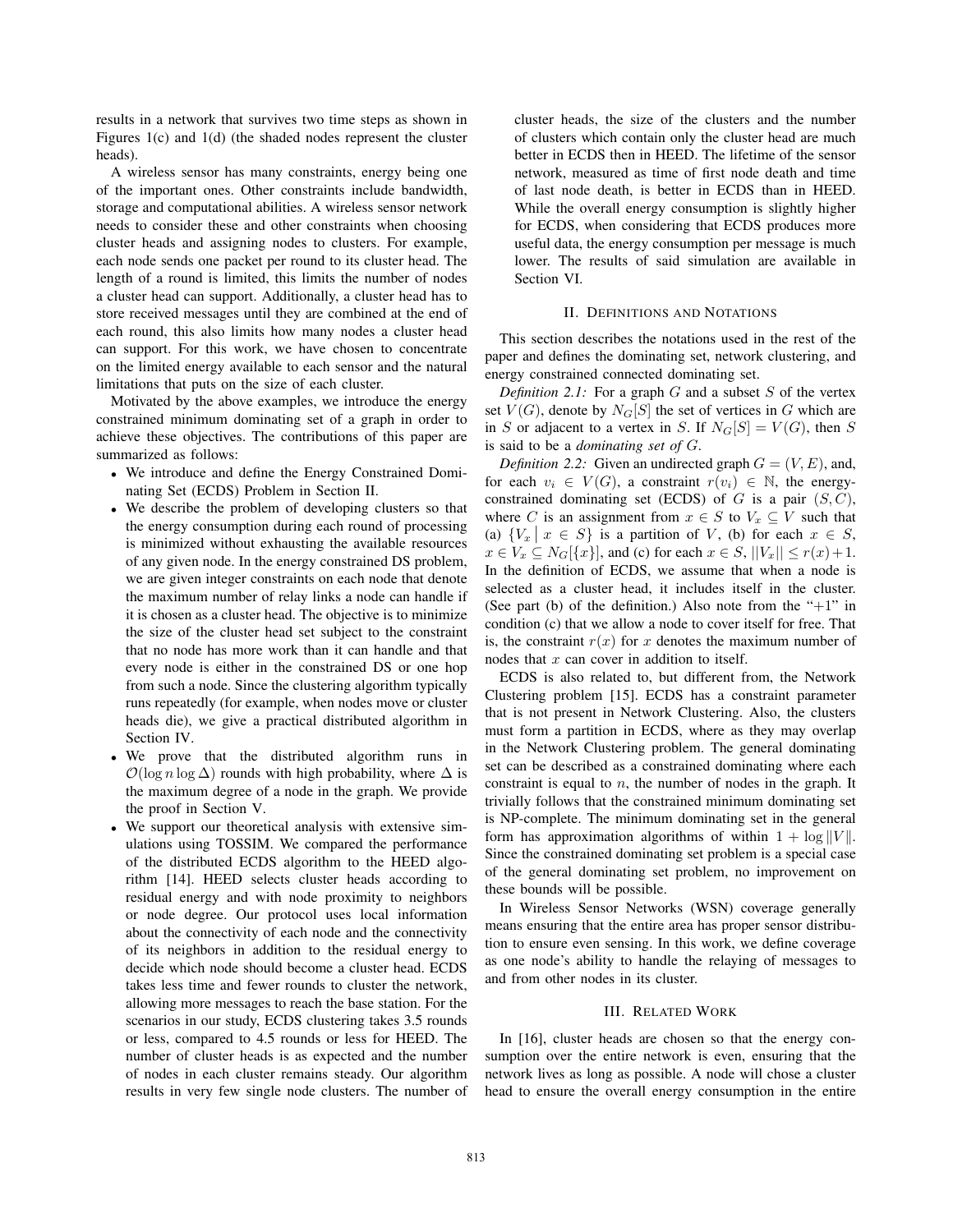results in a network that survives two time steps as shown in Figures 1(c) and 1(d) (the shaded nodes represent the cluster heads).

A wireless sensor has many constraints, energy being one of the important ones. Other constraints include bandwidth, storage and computational abilities. A wireless sensor network needs to consider these and other constraints when choosing cluster heads and assigning nodes to clusters. For example, each node sends one packet per round to its cluster head. The length of a round is limited, this limits the number of nodes a cluster head can support. Additionally, a cluster head has to store received messages until they are combined at the end of each round, this also limits how many nodes a cluster head can support. For this work, we have chosen to concentrate on the limited energy available to each sensor and the natural limitations that puts on the size of each cluster.

Motivated by the above examples, we introduce the energy constrained minimum dominating set of a graph in order to achieve these objectives. The contributions of this paper are summarized as follows:

- We introduce and define the Energy Constrained Dominating Set (ECDS) Problem in Section II.
- We describe the problem of developing clusters so that the energy consumption during each round of processing is minimized without exhausting the available resources of any given node. In the energy constrained DS problem, we are given integer constraints on each node that denote the maximum number of relay links a node can handle if it is chosen as a cluster head. The objective is to minimize the size of the cluster head set subject to the constraint that no node has more work than it can handle and that every node is either in the constrained DS or one hop from such a node. Since the clustering algorithm typically runs repeatedly (for example, when nodes move or cluster heads die), we give a practical distributed algorithm in Section IV.
- We prove that the distributed algorithm runs in  $\mathcal{O}(\log n \log \Delta)$  rounds with high probability, where  $\Delta$  is the maximum degree of a node in the graph. We provide the proof in Section V.
- We support our theoretical analysis with extensive simulations using TOSSIM. We compared the performance of the distributed ECDS algorithm to the HEED algorithm [14]. HEED selects cluster heads according to residual energy and with node proximity to neighbors or node degree. Our protocol uses local information about the connectivity of each node and the connectivity of its neighbors in addition to the residual energy to decide which node should become a cluster head. ECDS takes less time and fewer rounds to cluster the network, allowing more messages to reach the base station. For the scenarios in our study, ECDS clustering takes 3.5 rounds or less, compared to 4.5 rounds or less for HEED. The number of cluster heads is as expected and the number of nodes in each cluster remains steady. Our algorithm results in very few single node clusters. The number of

cluster heads, the size of the clusters and the number of clusters which contain only the cluster head are much better in ECDS then in HEED. The lifetime of the sensor network, measured as time of first node death and time of last node death, is better in ECDS than in HEED. While the overall energy consumption is slightly higher for ECDS, when considering that ECDS produces more useful data, the energy consumption per message is much lower. The results of said simulation are available in Section VI.

#### II. DEFINITIONS AND NOTATIONS

This section describes the notations used in the rest of the paper and defines the dominating set, network clustering, and energy constrained connected dominating set.

*Definition 2.1:* For a graph  $G$  and a subset  $S$  of the vertex set  $V(G)$ , denote by  $N_G[S]$  the set of vertices in G which are in S or adjacent to a vertex in S. If  $N_G[S] = V(G)$ , then S is said to be a *dominating set of* G.

*Definition 2.2:* Given an undirected graph  $G = (V, E)$ , and, for each  $v_i \in V(G)$ , a constraint  $r(v_i) \in \mathbb{N}$ , the energyconstrained dominating set (ECDS) of  $G$  is a pair  $(S, C)$ , where C is an assignment from  $x \in S$  to  $V_x \subseteq V$  such that (a)  ${V_x | x \in S}$  is a partition of V, (b) for each  $x \in S$ ,  $x \in V_x \subseteq N_G[\lbrace x \rbrace]$ , and (c) for each  $x \in S$ ,  $||V_x|| \le r(x) + 1$ . In the definition of ECDS, we assume that when a node is selected as a cluster head, it includes itself in the cluster. (See part (b) of the definition.) Also note from the " $+1$ " in condition (c) that we allow a node to cover itself for free. That is, the constraint  $r(x)$  for x denotes the maximum number of nodes that  $x$  can cover in addition to itself.

ECDS is also related to, but different from, the Network Clustering problem [15]. ECDS has a constraint parameter that is not present in Network Clustering. Also, the clusters must form a partition in ECDS, where as they may overlap in the Network Clustering problem. The general dominating set can be described as a constrained dominating where each constraint is equal to  $n$ , the number of nodes in the graph. It trivially follows that the constrained minimum dominating set is NP-complete. The minimum dominating set in the general form has approximation algorithms of within  $1 + \log ||V||$ . Since the constrained dominating set problem is a special case of the general dominating set problem, no improvement on these bounds will be possible.

In Wireless Sensor Networks (WSN) coverage generally means ensuring that the entire area has proper sensor distribution to ensure even sensing. In this work, we define coverage as one node's ability to handle the relaying of messages to and from other nodes in its cluster.

#### III. RELATED WORK

In [16], cluster heads are chosen so that the energy consumption over the entire network is even, ensuring that the network lives as long as possible. A node will chose a cluster head to ensure the overall energy consumption in the entire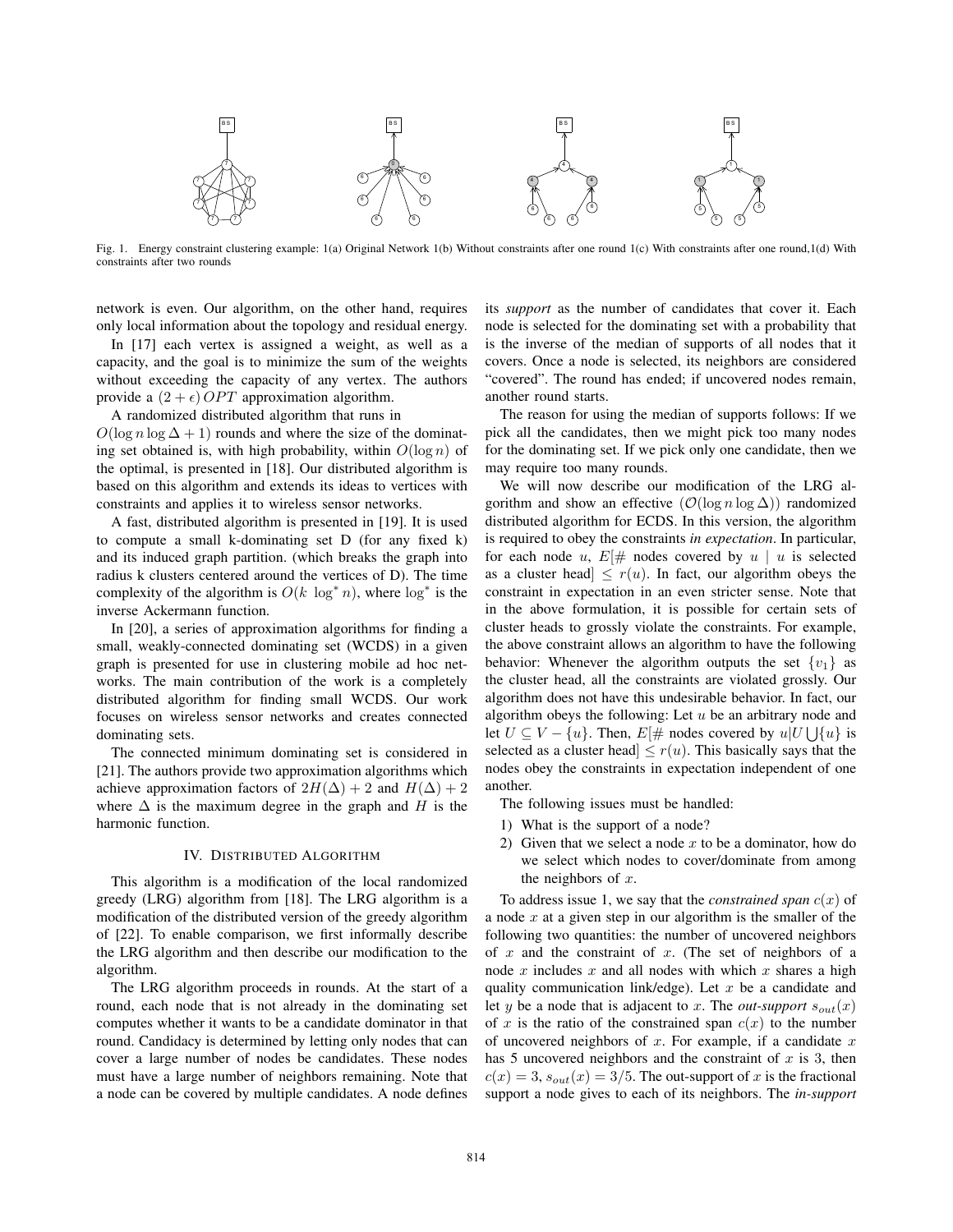

Fig. 1. Energy constraint clustering example: 1(a) Original Network 1(b) Without constraints after one round 1(c) With constraints after one round,1(d) With constraints after two rounds

network is even. Our algorithm, on the other hand, requires only local information about the topology and residual energy.

In [17] each vertex is assigned a weight, as well as a capacity, and the goal is to minimize the sum of the weights without exceeding the capacity of any vertex. The authors provide a  $(2 + \epsilon)$  *OPT* approximation algorithm.

A randomized distributed algorithm that runs in

 $O(\log n \log \Delta + 1)$  rounds and where the size of the dominating set obtained is, with high probability, within  $O(\log n)$  of the optimal, is presented in [18]. Our distributed algorithm is based on this algorithm and extends its ideas to vertices with constraints and applies it to wireless sensor networks.

A fast, distributed algorithm is presented in [19]. It is used to compute a small k-dominating set D (for any fixed k) and its induced graph partition. (which breaks the graph into radius k clusters centered around the vertices of D). The time complexity of the algorithm is  $O(k \log^* n)$ , where  $\log^*$  is the inverse Ackermann function.

In [20], a series of approximation algorithms for finding a small, weakly-connected dominating set (WCDS) in a given graph is presented for use in clustering mobile ad hoc networks. The main contribution of the work is a completely distributed algorithm for finding small WCDS. Our work focuses on wireless sensor networks and creates connected dominating sets.

The connected minimum dominating set is considered in [21]. The authors provide two approximation algorithms which achieve approximation factors of  $2H(\Delta) + 2$  and  $H(\Delta) + 2$ where  $\Delta$  is the maximum degree in the graph and H is the harmonic function.

#### IV. DISTRIBUTED ALGORITHM

This algorithm is a modification of the local randomized greedy (LRG) algorithm from [18]. The LRG algorithm is a modification of the distributed version of the greedy algorithm of [22]. To enable comparison, we first informally describe the LRG algorithm and then describe our modification to the algorithm.

The LRG algorithm proceeds in rounds. At the start of a round, each node that is not already in the dominating set computes whether it wants to be a candidate dominator in that round. Candidacy is determined by letting only nodes that can cover a large number of nodes be candidates. These nodes must have a large number of neighbors remaining. Note that a node can be covered by multiple candidates. A node defines

its *support* as the number of candidates that cover it. Each node is selected for the dominating set with a probability that is the inverse of the median of supports of all nodes that it covers. Once a node is selected, its neighbors are considered "covered". The round has ended; if uncovered nodes remain, another round starts.

The reason for using the median of supports follows: If we pick all the candidates, then we might pick too many nodes for the dominating set. If we pick only one candidate, then we may require too many rounds.

We will now describe our modification of the LRG algorithm and show an effective  $(\mathcal{O}(\log n \log \Delta))$  randomized distributed algorithm for ECDS. In this version, the algorithm is required to obey the constraints *in expectation*. In particular, for each node u,  $E[\#$  nodes covered by u | u is selected as a cluster head  $\leq r(u)$ . In fact, our algorithm obeys the constraint in expectation in an even stricter sense. Note that in the above formulation, it is possible for certain sets of cluster heads to grossly violate the constraints. For example, the above constraint allows an algorithm to have the following behavior: Whenever the algorithm outputs the set  $\{v_1\}$  as the cluster head, all the constraints are violated grossly. Our algorithm does not have this undesirable behavior. In fact, our algorithm obeys the following: Let  $u$  be an arbitrary node and let  $U \subseteq V - \{u\}$ . Then,  $E[\#$  nodes covered by  $u|U \cup \{u\}$  is<br>selected as a cluster head  $\leq r(u)$ . This basically says that the selected as a cluster head  $\leq r(u)$ . This basically says that the nodes obey the constraints in expectation independent of one another.

The following issues must be handled:

- 1) What is the support of a node?
- 2) Given that we select a node  $x$  to be a dominator, how do we select which nodes to cover/dominate from among the neighbors of  $x$ .

To address issue 1, we say that the *constrained span*  $c(x)$  of a node  $x$  at a given step in our algorithm is the smaller of the following two quantities: the number of uncovered neighbors of  $x$  and the constraint of  $x$ . (The set of neighbors of a node  $x$  includes  $x$  and all nodes with which  $x$  shares a high quality communication link/edge). Let  $x$  be a candidate and let y be a node that is adjacent to x. The *out-support*  $s_{out}(x)$ of x is the ratio of the constrained span  $c(x)$  to the number of uncovered neighbors of  $x$ . For example, if a candidate  $x$ has 5 uncovered neighbors and the constraint of  $x$  is 3, then  $c(x)=3$ ,  $s_{out}(x)=3/5$ . The out-support of x is the fractional support a node gives to each of its neighbors. The *in-support*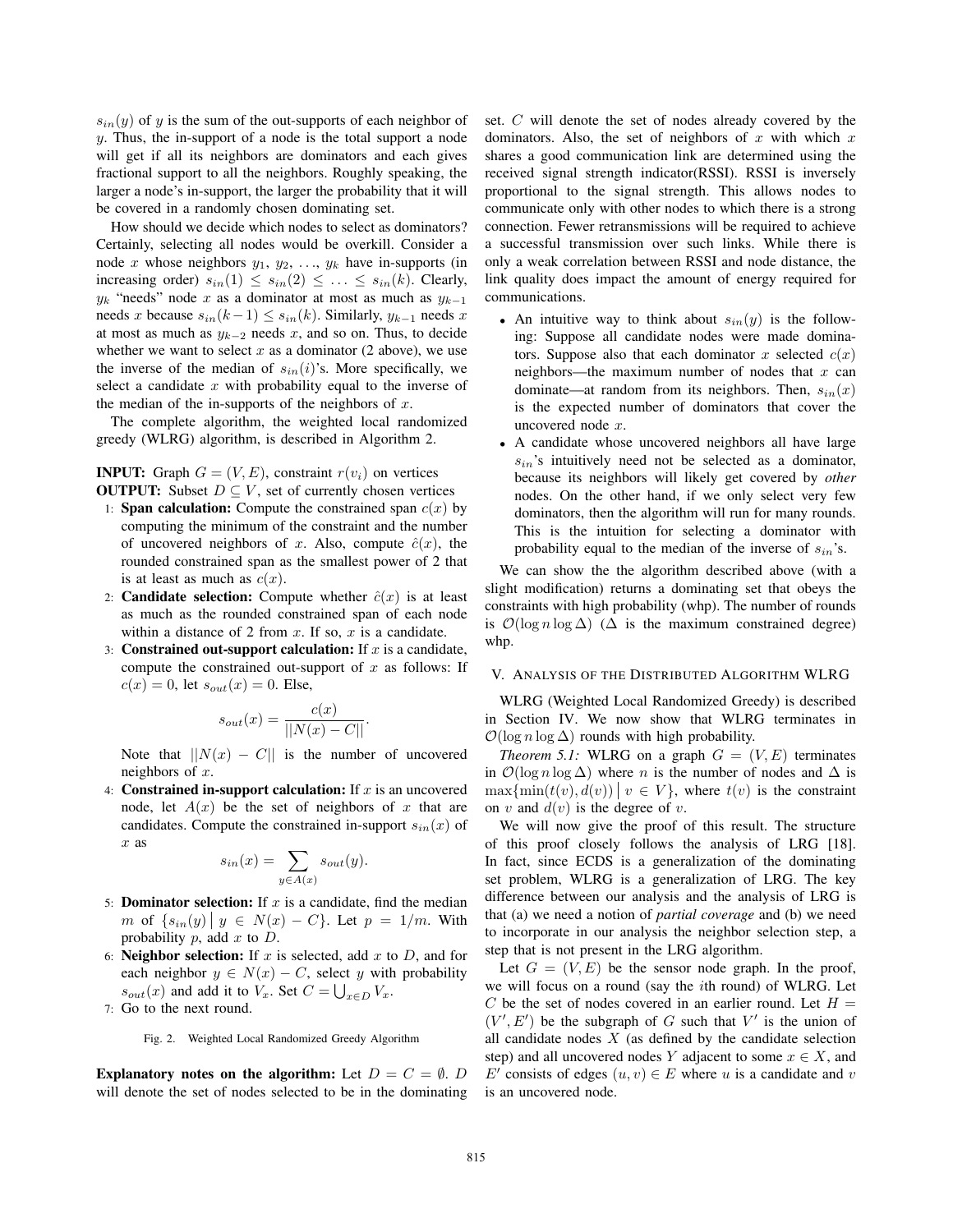$s_{in}(y)$  of y is the sum of the out-supports of each neighbor of y. Thus, the in-support of a node is the total support a node will get if all its neighbors are dominators and each gives fractional support to all the neighbors. Roughly speaking, the larger a node's in-support, the larger the probability that it will be covered in a randomly chosen dominating set.

How should we decide which nodes to select as dominators? Certainly, selecting all nodes would be overkill. Consider a node x whose neighbors  $y_1, y_2, \ldots, y_k$  have in-supports (in increasing order)  $s_{in}(1) \leq s_{in}(2) \leq \ldots \leq s_{in}(k)$ . Clearly,  $y_k$  "needs" node x as a dominator at most as much as  $y_{k-1}$ needs x because  $s_{in}(k-1) \leq s_{in}(k)$ . Similarly,  $y_{k-1}$  needs x at most as much as  $y_{k-2}$  needs x, and so on. Thus, to decide whether we want to select  $x$  as a dominator (2 above), we use the inverse of the median of  $s_{in}(i)$ 's. More specifically, we select a candidate  $x$  with probability equal to the inverse of the median of the in-supports of the neighbors of  $x$ .

The complete algorithm, the weighted local randomized greedy (WLRG) algorithm, is described in Algorithm 2.

**INPUT:** Graph  $G = (V, E)$ , constraint  $r(v_i)$  on vertices **OUTPUT:** Subset  $D \subseteq V$ , set of currently chosen vertices

- 1: **Span calculation:** Compute the constrained span  $c(x)$  by computing the minimum of the constraint and the number of uncovered neighbors of x. Also, compute  $\hat{c}(x)$ , the rounded constrained span as the smallest power of 2 that is at least as much as  $c(x)$ .
- 2: **Candidate selection:** Compute whether  $\hat{c}(x)$  is at least as much as the rounded constrained span of each node within a distance of 2 from  $x$ . If so,  $x$  is a candidate.
- 3: Constrained out-support calculation: If  $x$  is a candidate, compute the constrained out-support of  $x$  as follows: If  $c(x)=0$ , let  $s_{out}(x)=0$ . Else,

$$
s_{out}(x) = \frac{c(x)}{||N(x) - C||}.
$$

Note that  $||N(x) - C||$  is the number of uncovered neighbors of  $x$ .

4: **Constrained in-support calculation:** If  $x$  is an uncovered node, let  $A(x)$  be the set of neighbors of x that are candidates. Compute the constrained in-support  $s_{in}(x)$  of x as

$$
s_{in}(x) = \sum_{y \in A(x)} s_{out}(y).
$$

- 5: **Dominator selection:** If  $x$  is a candidate, find the median m of  $\{s_{in}(y) | y \in N(x) - C\}$ . Let  $p = 1/m$ . With probability  $p$ , add  $x$  to  $D$ .
- 6: **Neighbor selection:** If  $x$  is selected, add  $x$  to  $D$ , and for each neighbor  $y \in N(x) - C$ , select y with probability  $s_{out}(x)$  and add it to  $V_x$ . Set  $C = \bigcup_{x \in D} V_x$ .<br>Go to the next round
- 7: Go to the next round.

Fig. 2. Weighted Local Randomized Greedy Algorithm

Explanatory notes on the algorithm: Let  $D = C = \emptyset$ . D will denote the set of nodes selected to be in the dominating set. C will denote the set of nodes already covered by the dominators. Also, the set of neighbors of  $x$  with which  $x$ shares a good communication link are determined using the received signal strength indicator(RSSI). RSSI is inversely proportional to the signal strength. This allows nodes to communicate only with other nodes to which there is a strong connection. Fewer retransmissions will be required to achieve a successful transmission over such links. While there is only a weak correlation between RSSI and node distance, the link quality does impact the amount of energy required for communications.

- An intuitive way to think about  $s_{in}(y)$  is the following: Suppose all candidate nodes were made dominators. Suppose also that each dominator x selected  $c(x)$ neighbors—the maximum number of nodes that  $x$  can dominate—at random from its neighbors. Then,  $s_{in}(x)$ is the expected number of dominators that cover the uncovered node x.
- A candidate whose uncovered neighbors all have large  $s_{in}$ 's intuitively need not be selected as a dominator, because its neighbors will likely get covered by *other* nodes. On the other hand, if we only select very few dominators, then the algorithm will run for many rounds. This is the intuition for selecting a dominator with probability equal to the median of the inverse of  $s_{in}$ 's.

We can show the the algorithm described above (with a slight modification) returns a dominating set that obeys the constraints with high probability (whp). The number of rounds is  $\mathcal{O}(\log n \log \Delta)$  ( $\Delta$  is the maximum constrained degree) whp.

#### V. ANALYSIS OF THE DISTRIBUTED ALGORITHM WLRG

WLRG (Weighted Local Randomized Greedy) is described in Section IV. We now show that WLRG terminates in  $\mathcal{O}(\log n \log \Delta)$  rounds with high probability.

*Theorem 5.1:* WLRG on a graph  $G = (V, E)$  terminates in  $\mathcal{O}(\log n \log \Delta)$  where n is the number of nodes and  $\Delta$  is  $\max{\min(t(v), d(v))} \mid v \in V$ , where  $t(v)$  is the constraint on v and  $d(v)$  is the degree of v.

We will now give the proof of this result. The structure of this proof closely follows the analysis of LRG [18]. In fact, since ECDS is a generalization of the dominating set problem, WLRG is a generalization of LRG. The key difference between our analysis and the analysis of LRG is that (a) we need a notion of *partial coverage* and (b) we need to incorporate in our analysis the neighbor selection step, a step that is not present in the LRG algorithm.

Let  $G = (V, E)$  be the sensor node graph. In the proof, we will focus on a round (say the ith round) of WLRG. Let C be the set of nodes covered in an earlier round. Let  $H =$  $(V', E')$  be the subgraph of G such that V' is the union of all candidate nodes X (as defined by the candidate selection all candidate nodes  $X$  (as defined by the candidate selection step) and all uncovered nodes Y adjacent to some  $x \in X$ , and  $E'$  consists of edges  $(u, v) \in E$  where u is a candidate and v is an uncovered node is an uncovered node.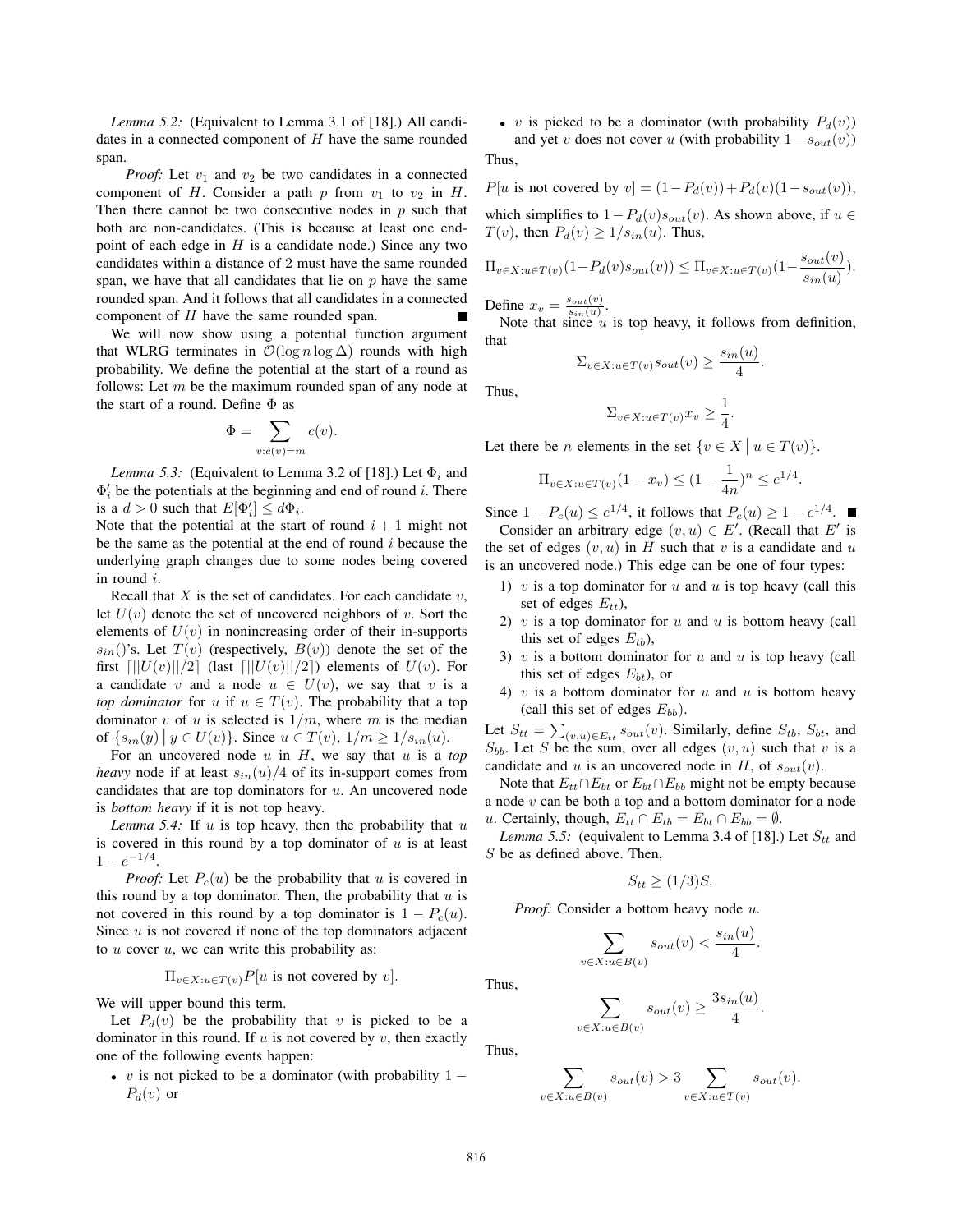*Lemma 5.2:* (Equivalent to Lemma 3.1 of [18].) All candidates in a connected component of  $H$  have the same rounded span.

*Proof:* Let  $v_1$  and  $v_2$  be two candidates in a connected component of H. Consider a path p from  $v_1$  to  $v_2$  in H. Then there cannot be two consecutive nodes in  $p$  such that both are non-candidates. (This is because at least one endpoint of each edge in  $H$  is a candidate node.) Since any two candidates within a distance of 2 must have the same rounded span, we have that all candidates that lie on  $p$  have the same rounded span. And it follows that all candidates in a connected component of H have the same rounded span.

We will now show using a potential function argument that WLRG terminates in  $\mathcal{O}(\log n \log \Delta)$  rounds with high probability. We define the potential at the start of a round as follows: Let  $m$  be the maximum rounded span of any node at the start of a round. Define  $\Phi$  as

$$
\Phi = \sum_{v:\hat{c}(v)=m} c(v).
$$

*Lemma 5.3:* (Equivalent to Lemma 3.2 of [18].) Let  $\Phi_i$  and  $\Phi'_i$  be the potentials at the beginning and end of round *i*. There is a  $d > 0$  such that  $E[\Phi'_i] \leq d\Phi_i$ .<br>Note that the potential at the start

Note that the potential at the start of round  $i + 1$  might not be the same as the potential at the end of round  $i$  because the underlying graph changes due to some nodes being covered in round i.

Recall that  $X$  is the set of candidates. For each candidate  $v$ , let  $U(v)$  denote the set of uncovered neighbors of v. Sort the elements of  $U(v)$  in nonincreasing order of their in-supports  $s_{in}($ )'s. Let  $T(v)$  (respectively,  $B(v)$ ) denote the set of the first  $\left|\frac{|U(v)||}{2}\right|$  (last  $\left|\frac{|U(v)||}{2}\right|$ ) elements of  $U(v)$ . For a candidate v and a node  $u \in U(v)$ , we say that v is a *top dominator* for u if  $u \in T(v)$ . The probability that a top dominator v of u is selected is  $1/m$ , where m is the median of  $\{s_{in}(y) | y \in U(v)\}\)$ . Since  $u \in T(v)$ ,  $1/m \ge 1/s_{in}(u)$ .

For an uncovered node  $u$  in  $H$ , we say that  $u$  is a *top heavy* node if at least  $s_{in}(u)/4$  of its in-support comes from candidates that are top dominators for  $u$ . An uncovered node is *bottom heavy* if it is not top heavy.

*Lemma 5.4:* If  $u$  is top heavy, then the probability that  $u$ is covered in this round by a top dominator of  $u$  is at least  $1 - e^{-1/4}.$ 

*Proof:* Let  $P_c(u)$  be the probability that u is covered in this round by a top dominator. Then, the probability that  $u$  is not covered in this round by a top dominator is  $1 - P_c(u)$ . Since  $u$  is not covered if none of the top dominators adjacent to  $u$  cover  $u$ , we can write this probability as:

$$
\Pi_{v\in X: u\in T(v)}P[u\text{ is not covered by }v].
$$

We will upper bound this term.

Let  $P_d(v)$  be the probability that v is picked to be a dominator in this round. If  $u$  is not covered by  $v$ , then exactly one of the following events happen:

• v is not picked to be a dominator (with probability  $1 P_d(v)$  or

• v is picked to be a dominator (with probability  $P_d(v)$ )

and yet v does not cover u (with probability  $1-s_{out}(v)$ ) Thus,

 $P[u \text{ is not covered by } v] = (1 - P_d(v)) + P_d(v)(1 - s_{out}(v)),$ 

which simplifies to  $1-P_d(v)s_{out}(v)$ . As shown above, if  $u \in$  $T(v)$ , then  $P_d(v) \geq 1/s_{in}(u)$ . Thus,

$$
\Pi_{v \in X: u \in T(v)}(1 - P_d(v)s_{out}(v)) \leq \Pi_{v \in X: u \in T(v)}(1 - \frac{s_{out}(v)}{s_{in}(u)}).
$$

Define  $x_v = \frac{s_{out}(v)}{s_{in}(u)}$ .<br>Note that since y

Note that since  $u$  is top heavy, it follows from definition, that

$$
\Sigma_{v \in X: u \in T(v)} s_{out}(v) \ge \frac{s_{in}(u)}{4}.
$$

Thus,

$$
\Sigma_{v \in X: u \in T(v)} x_v \ge \frac{1}{4}
$$

.

Let there be *n* elements in the set  $\{v \in X \mid u \in T(v)\}.$ 

$$
\Pi_{v \in X: u \in T(v)} (1 - x_v) \le (1 - \frac{1}{4n})^n \le e^{1/4}.
$$

Since  $1 - P_c(u) \leq e^{1/4}$ , it follows that  $P_c(u) \geq 1 - e^{1/4}$ .<br>Consider an arbitrary edge  $(v, u) \in E'$  (Recall that E Consider an arbitrary edge  $(v, u) \in E'$ . (Recall that E' is the set of edges  $(v, u)$  in H such that v is a candidate and u is an uncovered node.) This edge can be one of four types:

- 1) v is a top dominator for u and u is top heavy (call this set of edges  $E_{tt}$ ),
- 2)  $v$  is a top dominator for  $u$  and  $u$  is bottom heavy (call this set of edges  $E_{tb}$ ),
- 3)  $v$  is a bottom dominator for  $u$  and  $u$  is top heavy (call this set of edges  $E_{bt}$ ), or
- 4)  $v$  is a bottom dominator for  $u$  and  $u$  is bottom heavy (call this set of edges  $E_{bb}$ ).

Let  $S_{tt} = \sum_{(v,u) \in E_{tt}} s_{out}(v)$ . Similarly, define  $S_{tb}$ ,  $S_{bt}$ , and  $S_{tt}$ . Let S be the sum over all edges  $(v, u)$  such that  $v$  is a  $S_{bb}$ . Let S be the sum, over all edges  $(v, u)$  such that v is a candidate and u is an uncovered node in H of  $\varepsilon_{w}(v)$ candidate and u is an uncovered node in H, of  $s_{out}(v)$ .

Note that  $E_{tt} \cap E_{bt}$  or  $E_{bt} \cap E_{bb}$  might not be empty because a node  $v$  can be both a top and a bottom dominator for a node u. Certainly, though,  $E_{tt} \cap E_{tb} = E_{bt} \cap E_{bb} = \emptyset$ .

*Lemma 5.5:* (equivalent to Lemma 3.4 of [18].) Let  $S_{tt}$  and  $S$  be as defined above. Then,

$$
S_{tt} \ge (1/3)S.
$$

*Proof:* Consider a bottom heavy node u.

 $v \in$ 

$$
\sum_{X: u \in B(v)} s_{out}(v) < \frac{s_{in}(u)}{4}.
$$

$$
\sum_{v \in X: u \in B(v)} s_{out}(v) \ge \frac{3s_{in}(u)}{4}.
$$

Thus,

Thus,

$$
\sum_{v \in X: u \in B(v)} s_{out}(v) > 3 \sum_{v \in X: u \in T(v)} s_{out}(v).
$$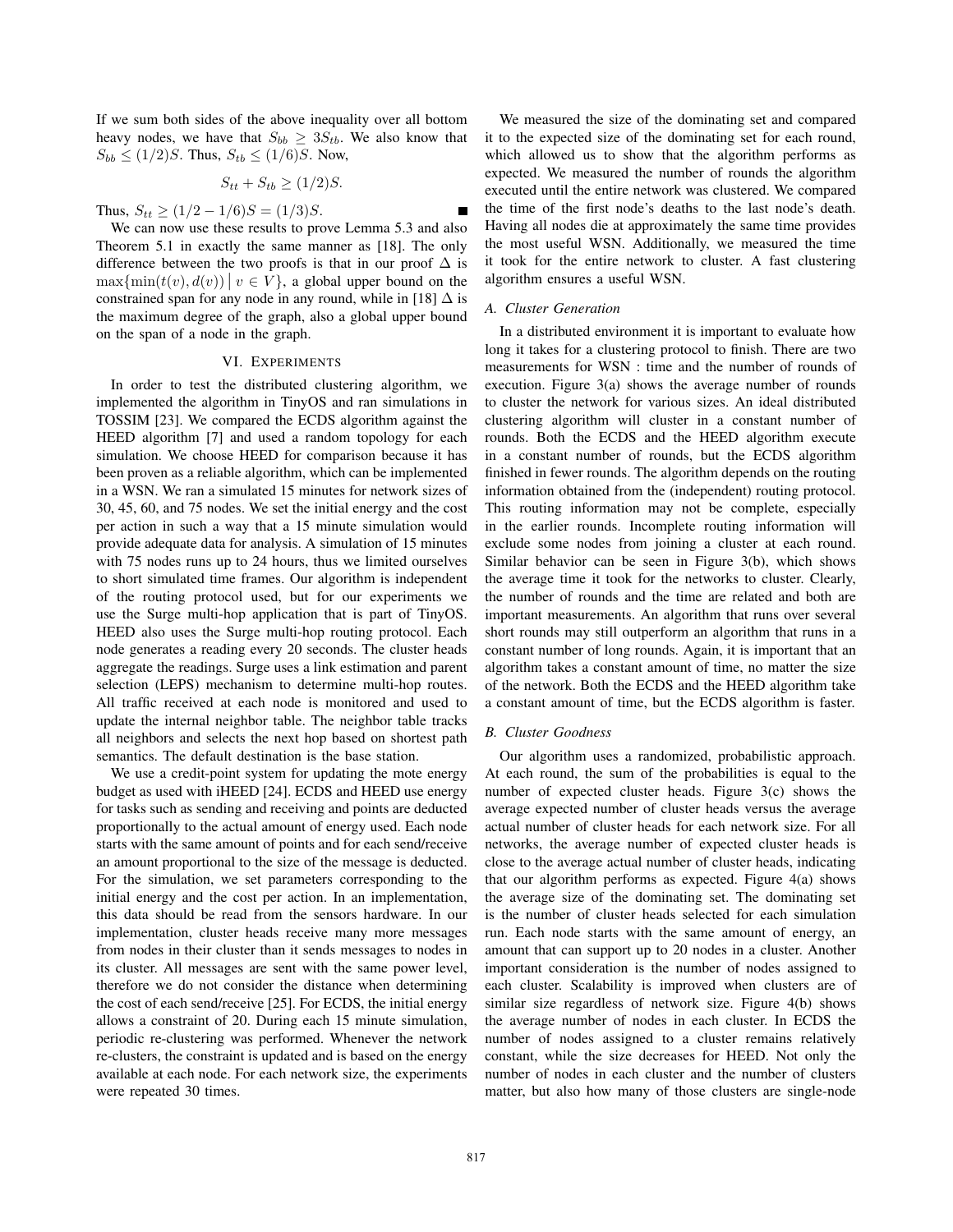If we sum both sides of the above inequality over all bottom heavy nodes, we have that  $S_{bb} \geq 3S_{tb}$ . We also know that  $S_{bb} \le (1/2)S$ . Thus,  $S_{tb} \le (1/6)S$ . Now,

$$
S_{tt} + S_{tb} \ge (1/2)S.
$$

Thus,  $S_{tt} \ge (1/2 - 1/6)S = (1/3)S$ .

We can now use these results to prove Lemma 5.3 and also Theorem 5.1 in exactly the same manner as [18]. The only difference between the two proofs is that in our proof  $\Delta$  is  $\max{\min(t(v), d(v))} \mid v \in V$ , a global upper bound on the constrained span for any node in any round, while in [18]  $\Delta$  is the maximum degree of the graph, also a global upper bound on the span of a node in the graph.

#### VI. EXPERIMENTS

In order to test the distributed clustering algorithm, we implemented the algorithm in TinyOS and ran simulations in TOSSIM [23]. We compared the ECDS algorithm against the HEED algorithm [7] and used a random topology for each simulation. We choose HEED for comparison because it has been proven as a reliable algorithm, which can be implemented in a WSN. We ran a simulated 15 minutes for network sizes of 30, 45, 60, and 75 nodes. We set the initial energy and the cost per action in such a way that a 15 minute simulation would provide adequate data for analysis. A simulation of 15 minutes with 75 nodes runs up to 24 hours, thus we limited ourselves to short simulated time frames. Our algorithm is independent of the routing protocol used, but for our experiments we use the Surge multi-hop application that is part of TinyOS. HEED also uses the Surge multi-hop routing protocol. Each node generates a reading every 20 seconds. The cluster heads aggregate the readings. Surge uses a link estimation and parent selection (LEPS) mechanism to determine multi-hop routes. All traffic received at each node is monitored and used to update the internal neighbor table. The neighbor table tracks all neighbors and selects the next hop based on shortest path semantics. The default destination is the base station.

We use a credit-point system for updating the mote energy budget as used with iHEED [24]. ECDS and HEED use energy for tasks such as sending and receiving and points are deducted proportionally to the actual amount of energy used. Each node starts with the same amount of points and for each send/receive an amount proportional to the size of the message is deducted. For the simulation, we set parameters corresponding to the initial energy and the cost per action. In an implementation, this data should be read from the sensors hardware. In our implementation, cluster heads receive many more messages from nodes in their cluster than it sends messages to nodes in its cluster. All messages are sent with the same power level, therefore we do not consider the distance when determining the cost of each send/receive [25]. For ECDS, the initial energy allows a constraint of 20. During each 15 minute simulation, periodic re-clustering was performed. Whenever the network re-clusters, the constraint is updated and is based on the energy available at each node. For each network size, the experiments were repeated 30 times.

We measured the size of the dominating set and compared it to the expected size of the dominating set for each round, which allowed us to show that the algorithm performs as expected. We measured the number of rounds the algorithm executed until the entire network was clustered. We compared the time of the first node's deaths to the last node's death. Having all nodes die at approximately the same time provides the most useful WSN. Additionally, we measured the time it took for the entire network to cluster. A fast clustering algorithm ensures a useful WSN.

#### *A. Cluster Generation*

In a distributed environment it is important to evaluate how long it takes for a clustering protocol to finish. There are two measurements for WSN : time and the number of rounds of execution. Figure 3(a) shows the average number of rounds to cluster the network for various sizes. An ideal distributed clustering algorithm will cluster in a constant number of rounds. Both the ECDS and the HEED algorithm execute in a constant number of rounds, but the ECDS algorithm finished in fewer rounds. The algorithm depends on the routing information obtained from the (independent) routing protocol. This routing information may not be complete, especially in the earlier rounds. Incomplete routing information will exclude some nodes from joining a cluster at each round. Similar behavior can be seen in Figure 3(b), which shows the average time it took for the networks to cluster. Clearly, the number of rounds and the time are related and both are important measurements. An algorithm that runs over several short rounds may still outperform an algorithm that runs in a constant number of long rounds. Again, it is important that an algorithm takes a constant amount of time, no matter the size of the network. Both the ECDS and the HEED algorithm take a constant amount of time, but the ECDS algorithm is faster.

#### *B. Cluster Goodness*

Our algorithm uses a randomized, probabilistic approach. At each round, the sum of the probabilities is equal to the number of expected cluster heads. Figure 3(c) shows the average expected number of cluster heads versus the average actual number of cluster heads for each network size. For all networks, the average number of expected cluster heads is close to the average actual number of cluster heads, indicating that our algorithm performs as expected. Figure 4(a) shows the average size of the dominating set. The dominating set is the number of cluster heads selected for each simulation run. Each node starts with the same amount of energy, an amount that can support up to 20 nodes in a cluster. Another important consideration is the number of nodes assigned to each cluster. Scalability is improved when clusters are of similar size regardless of network size. Figure 4(b) shows the average number of nodes in each cluster. In ECDS the number of nodes assigned to a cluster remains relatively constant, while the size decreases for HEED. Not only the number of nodes in each cluster and the number of clusters matter, but also how many of those clusters are single-node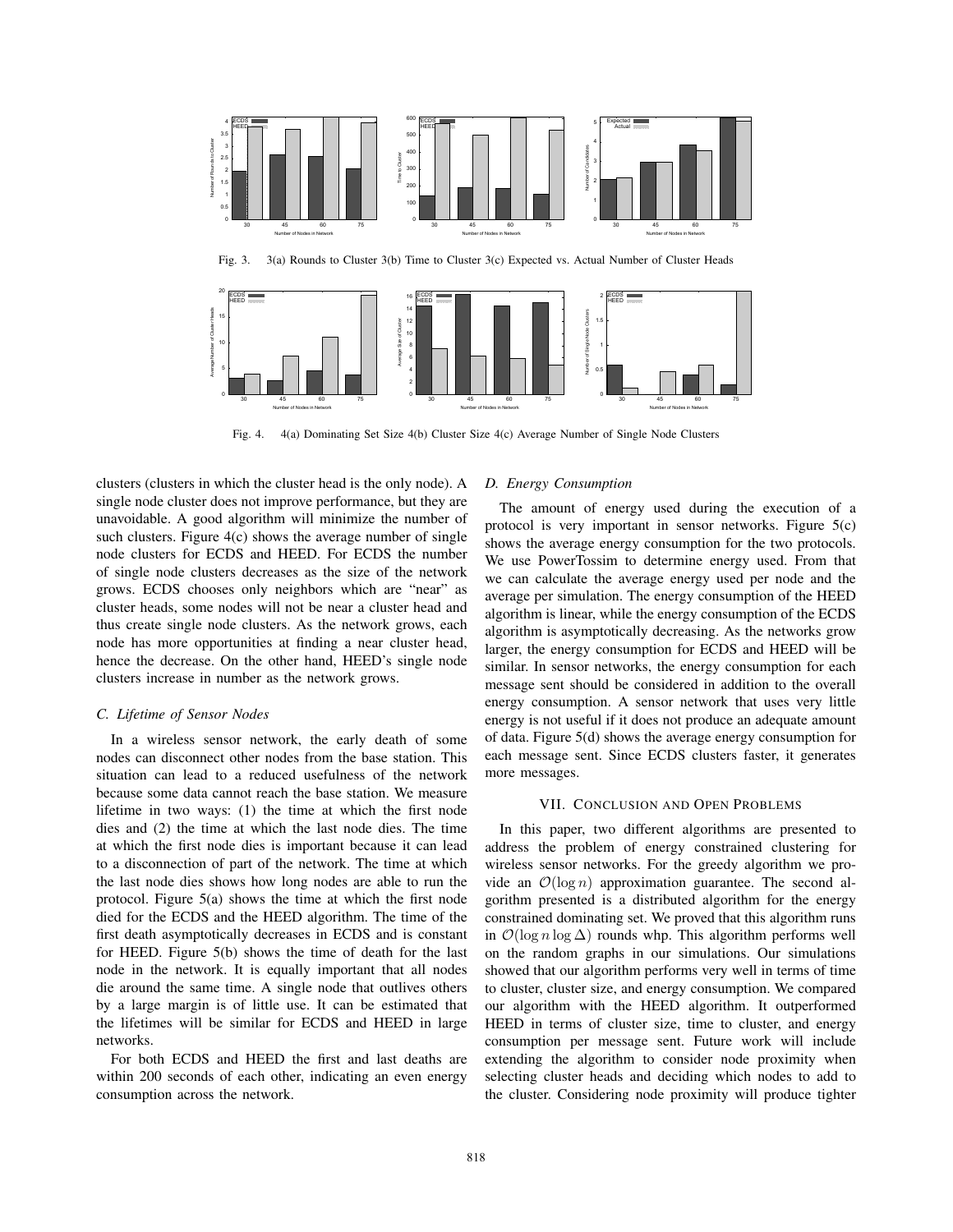



Fig. 4. 4(a) Dominating Set Size 4(b) Cluster Size 4(c) Average Number of Single Node Clusters

clusters (clusters in which the cluster head is the only node). A single node cluster does not improve performance, but they are unavoidable. A good algorithm will minimize the number of such clusters. Figure 4(c) shows the average number of single node clusters for ECDS and HEED. For ECDS the number of single node clusters decreases as the size of the network grows. ECDS chooses only neighbors which are "near" as cluster heads, some nodes will not be near a cluster head and thus create single node clusters. As the network grows, each node has more opportunities at finding a near cluster head, hence the decrease. On the other hand, HEED's single node clusters increase in number as the network grows.

#### *C. Lifetime of Sensor Nodes*

In a wireless sensor network, the early death of some nodes can disconnect other nodes from the base station. This situation can lead to a reduced usefulness of the network because some data cannot reach the base station. We measure lifetime in two ways: (1) the time at which the first node dies and (2) the time at which the last node dies. The time at which the first node dies is important because it can lead to a disconnection of part of the network. The time at which the last node dies shows how long nodes are able to run the protocol. Figure 5(a) shows the time at which the first node died for the ECDS and the HEED algorithm. The time of the first death asymptotically decreases in ECDS and is constant for HEED. Figure 5(b) shows the time of death for the last node in the network. It is equally important that all nodes die around the same time. A single node that outlives others by a large margin is of little use. It can be estimated that the lifetimes will be similar for ECDS and HEED in large networks.

For both ECDS and HEED the first and last deaths are within 200 seconds of each other, indicating an even energy consumption across the network.

#### *D. Energy Consumption*

The amount of energy used during the execution of a protocol is very important in sensor networks. Figure 5(c) shows the average energy consumption for the two protocols. We use PowerTossim to determine energy used. From that we can calculate the average energy used per node and the average per simulation. The energy consumption of the HEED algorithm is linear, while the energy consumption of the ECDS algorithm is asymptotically decreasing. As the networks grow larger, the energy consumption for ECDS and HEED will be similar. In sensor networks, the energy consumption for each message sent should be considered in addition to the overall energy consumption. A sensor network that uses very little energy is not useful if it does not produce an adequate amount of data. Figure 5(d) shows the average energy consumption for each message sent. Since ECDS clusters faster, it generates more messages.

#### VII. CONCLUSION AND OPEN PROBLEMS

In this paper, two different algorithms are presented to address the problem of energy constrained clustering for wireless sensor networks. For the greedy algorithm we provide an  $\mathcal{O}(\log n)$  approximation guarantee. The second algorithm presented is a distributed algorithm for the energy constrained dominating set. We proved that this algorithm runs in  $\mathcal{O}(\log n \log \Delta)$  rounds whp. This algorithm performs well on the random graphs in our simulations. Our simulations showed that our algorithm performs very well in terms of time to cluster, cluster size, and energy consumption. We compared our algorithm with the HEED algorithm. It outperformed HEED in terms of cluster size, time to cluster, and energy consumption per message sent. Future work will include extending the algorithm to consider node proximity when selecting cluster heads and deciding which nodes to add to the cluster. Considering node proximity will produce tighter